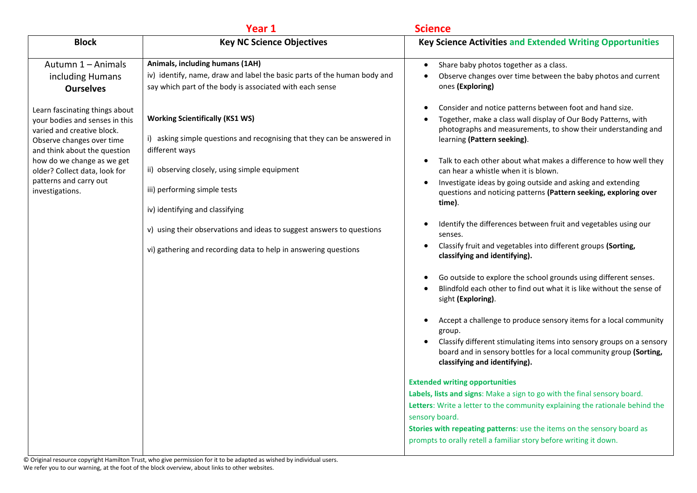|                                                                                                                                                                                                                                                                         | Year 1                                                                                                                                                                                                                                                  | <b>Science</b>                                                                                                                                                                                                                                                                                                                                                                                                                                                                                                                                                                                                                                                                                                                                                                                                                                     |
|-------------------------------------------------------------------------------------------------------------------------------------------------------------------------------------------------------------------------------------------------------------------------|---------------------------------------------------------------------------------------------------------------------------------------------------------------------------------------------------------------------------------------------------------|----------------------------------------------------------------------------------------------------------------------------------------------------------------------------------------------------------------------------------------------------------------------------------------------------------------------------------------------------------------------------------------------------------------------------------------------------------------------------------------------------------------------------------------------------------------------------------------------------------------------------------------------------------------------------------------------------------------------------------------------------------------------------------------------------------------------------------------------------|
| <b>Block</b>                                                                                                                                                                                                                                                            | <b>Key NC Science Objectives</b>                                                                                                                                                                                                                        | <b>Key Science Activities and Extended Writing Opportunities</b>                                                                                                                                                                                                                                                                                                                                                                                                                                                                                                                                                                                                                                                                                                                                                                                   |
| Autumn 1 - Animals<br>including Humans<br><b>Ourselves</b>                                                                                                                                                                                                              | Animals, including humans (1AH)<br>iv) identify, name, draw and label the basic parts of the human body and<br>say which part of the body is associated with each sense                                                                                 | Share baby photos together as a class.<br>$\bullet$<br>Observe changes over time between the baby photos and current<br>ones (Exploring)                                                                                                                                                                                                                                                                                                                                                                                                                                                                                                                                                                                                                                                                                                           |
| Learn fascinating things about<br>your bodies and senses in this<br>varied and creative block.<br>Observe changes over time<br>and think about the question<br>how do we change as we get<br>older? Collect data, look for<br>patterns and carry out<br>investigations. | <b>Working Scientifically (KS1 WS)</b><br>i) asking simple questions and recognising that they can be answered in<br>different ways<br>ii) observing closely, using simple equipment<br>iii) performing simple tests<br>iv) identifying and classifying | Consider and notice patterns between foot and hand size.<br>Together, make a class wall display of Our Body Patterns, with<br>photographs and measurements, to show their understanding and<br>learning (Pattern seeking).<br>Talk to each other about what makes a difference to how well they<br>can hear a whistle when it is blown.<br>Investigate ideas by going outside and asking and extending<br>$\bullet$<br>questions and noticing patterns (Pattern seeking, exploring over<br>time).                                                                                                                                                                                                                                                                                                                                                  |
|                                                                                                                                                                                                                                                                         | v) using their observations and ideas to suggest answers to questions<br>vi) gathering and recording data to help in answering questions                                                                                                                | Identify the differences between fruit and vegetables using our<br>senses.<br>Classify fruit and vegetables into different groups (Sorting,<br>classifying and identifying).<br>Go outside to explore the school grounds using different senses.<br>Blindfold each other to find out what it is like without the sense of<br>sight (Exploring).<br>Accept a challenge to produce sensory items for a local community<br>group.<br>Classify different stimulating items into sensory groups on a sensory<br>$\bullet$<br>board and in sensory bottles for a local community group (Sorting,<br>classifying and identifying).<br><b>Extended writing opportunities</b><br>Labels, lists and signs: Make a sign to go with the final sensory board.<br>Letters: Write a letter to the community explaining the rationale behind the<br>sensory board. |
|                                                                                                                                                                                                                                                                         |                                                                                                                                                                                                                                                         | Stories with repeating patterns: use the items on the sensory board as<br>prompts to orally retell a familiar story before writing it down.                                                                                                                                                                                                                                                                                                                                                                                                                                                                                                                                                                                                                                                                                                        |

© Original resource copyright Hamilton Trust, who give permission for it to be adapted as wished by individual users. We refer you to our warning, at the foot of the block overview, about links to other websites.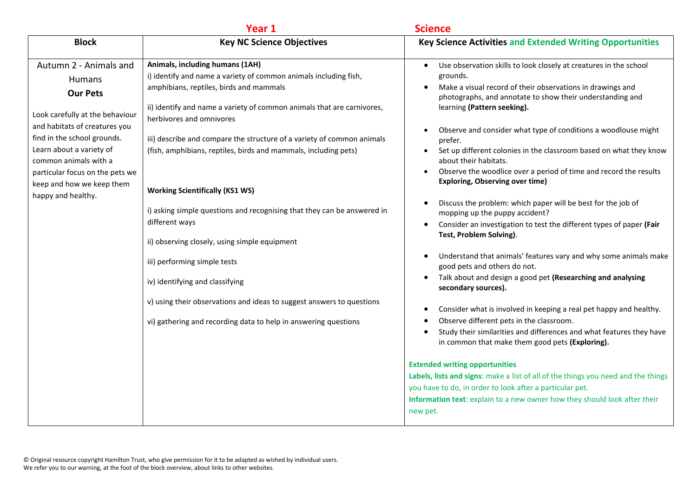|                                                                                                                                                                                                                                                                                                          | Year 1                                                                                                                                                                                                                                               | <b>Science</b>                                                                                                                                                                                                                                                                          |
|----------------------------------------------------------------------------------------------------------------------------------------------------------------------------------------------------------------------------------------------------------------------------------------------------------|------------------------------------------------------------------------------------------------------------------------------------------------------------------------------------------------------------------------------------------------------|-----------------------------------------------------------------------------------------------------------------------------------------------------------------------------------------------------------------------------------------------------------------------------------------|
| <b>Block</b>                                                                                                                                                                                                                                                                                             | <b>Key NC Science Objectives</b>                                                                                                                                                                                                                     | <b>Key Science Activities and Extended Writing Opportunities</b>                                                                                                                                                                                                                        |
| Autumn 2 - Animals and<br><b>Humans</b><br><b>Our Pets</b><br>Look carefully at the behaviour<br>and habitats of creatures you<br>find in the school grounds.<br>Learn about a variety of<br>common animals with a<br>particular focus on the pets we<br>keep and how we keep them<br>happy and healthy. | Animals, including humans (1AH)<br>i) identify and name a variety of common animals including fish,<br>amphibians, reptiles, birds and mammals<br>ii) identify and name a variety of common animals that are carnivores,<br>herbivores and omnivores | Use observation skills to look closely at creatures in the school<br>grounds.<br>Make a visual record of their observations in drawings and<br>photographs, and annotate to show their understanding and<br>learning (Pattern seeking).                                                 |
|                                                                                                                                                                                                                                                                                                          | iii) describe and compare the structure of a variety of common animals<br>(fish, amphibians, reptiles, birds and mammals, including pets)<br><b>Working Scientifically (KS1 WS)</b>                                                                  | Observe and consider what type of conditions a woodlouse might<br>prefer.<br>Set up different colonies in the classroom based on what they know<br>about their habitats.<br>Observe the woodlice over a period of time and record the results<br><b>Exploring, Observing over time)</b> |
|                                                                                                                                                                                                                                                                                                          | i) asking simple questions and recognising that they can be answered in<br>different ways<br>ii) observing closely, using simple equipment                                                                                                           | Discuss the problem: which paper will be best for the job of<br>mopping up the puppy accident?<br>Consider an investigation to test the different types of paper (Fair<br>$\bullet$<br>Test, Problem Solving).                                                                          |
|                                                                                                                                                                                                                                                                                                          | iii) performing simple tests<br>iv) identifying and classifying                                                                                                                                                                                      | Understand that animals' features vary and why some animals make<br>good pets and others do not.<br>Talk about and design a good pet (Researching and analysing<br>$\bullet$<br>secondary sources).                                                                                     |
|                                                                                                                                                                                                                                                                                                          | v) using their observations and ideas to suggest answers to questions<br>vi) gathering and recording data to help in answering questions                                                                                                             | Consider what is involved in keeping a real pet happy and healthy.<br>Observe different pets in the classroom.<br>Study their similarities and differences and what features they have<br>in common that make them good pets (Exploring).                                               |
|                                                                                                                                                                                                                                                                                                          |                                                                                                                                                                                                                                                      | <b>Extended writing opportunities</b><br>Labels, lists and signs: make a list of all of the things you need and the things<br>you have to do, in order to look after a particular pet.<br>Information text: explain to a new owner how they should look after their<br>new pet.         |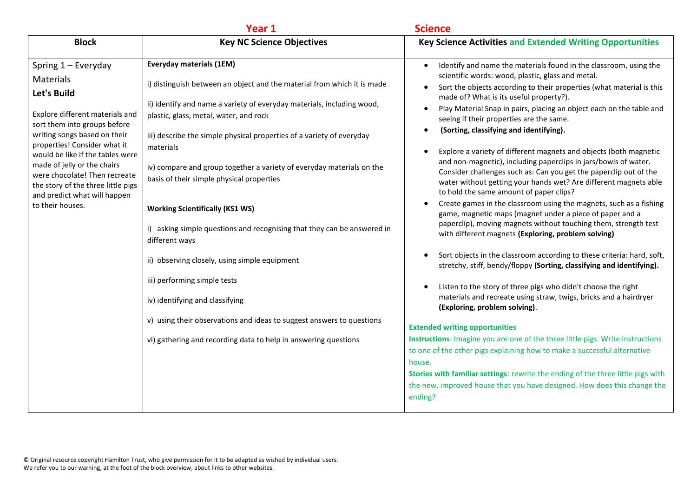|                                                                                                                                                                                                                                                                                                                                                                                                  | Year 1                                                                                                                                                                                                                                                                                                                                                                                                                                                                               | <b>Science</b>                                                                                                                                                                                                                                                                                                                                                                                                                                                                                                                                                                                                                                                                                                                                                                                                                                                                                                 |
|--------------------------------------------------------------------------------------------------------------------------------------------------------------------------------------------------------------------------------------------------------------------------------------------------------------------------------------------------------------------------------------------------|--------------------------------------------------------------------------------------------------------------------------------------------------------------------------------------------------------------------------------------------------------------------------------------------------------------------------------------------------------------------------------------------------------------------------------------------------------------------------------------|----------------------------------------------------------------------------------------------------------------------------------------------------------------------------------------------------------------------------------------------------------------------------------------------------------------------------------------------------------------------------------------------------------------------------------------------------------------------------------------------------------------------------------------------------------------------------------------------------------------------------------------------------------------------------------------------------------------------------------------------------------------------------------------------------------------------------------------------------------------------------------------------------------------|
| <b>Block</b>                                                                                                                                                                                                                                                                                                                                                                                     | <b>Key NC Science Objectives</b>                                                                                                                                                                                                                                                                                                                                                                                                                                                     | <b>Key Science Activities and Extended Writing Opportunities</b>                                                                                                                                                                                                                                                                                                                                                                                                                                                                                                                                                                                                                                                                                                                                                                                                                                               |
| Spring $1 -$ Everyday<br><b>Materials</b><br><b>Let's Build</b><br>Explore different materials and<br>sort them into groups before<br>writing songs based on their<br>properties! Consider what it<br>would be like if the tables were<br>made of jelly or the chairs<br>were chocolate! Then recreate<br>the story of the three little pigs<br>and predict what will happen<br>to their houses. | <b>Everyday materials (1EM)</b><br>i) distinguish between an object and the material from which it is made<br>ii) identify and name a variety of everyday materials, including wood,<br>plastic, glass, metal, water, and rock<br>iii) describe the simple physical properties of a variety of everyday<br>materials<br>iv) compare and group together a variety of everyday materials on the<br>basis of their simple physical properties<br><b>Working Scientifically (KS1 WS)</b> | Identify and name the materials found in the classroom, using the<br>$\bullet$<br>scientific words: wood, plastic, glass and metal.<br>Sort the objects according to their properties (what material is this<br>$\bullet$<br>made of? What is its useful property?).<br>Play Material Snap in pairs, placing an object each on the table and<br>$\bullet$<br>seeing if their properties are the same.<br>(Sorting, classifying and identifying).<br>Explore a variety of different magnets and objects (both magnetic<br>and non-magnetic), including paperclips in jars/bowls of water.<br>Consider challenges such as: Can you get the paperclip out of the<br>water without getting your hands wet? Are different magnets able<br>to hold the same amount of paper clips?<br>Create games in the classroom using the magnets, such as a fishing<br>game, magnetic maps (magnet under a piece of paper and a |
|                                                                                                                                                                                                                                                                                                                                                                                                  | i) asking simple questions and recognising that they can be answered in<br>different ways<br>ii) observing closely, using simple equipment                                                                                                                                                                                                                                                                                                                                           | paperclip), moving magnets without touching them, strength test<br>with different magnets (Exploring, problem solving)<br>Sort objects in the classroom according to these criteria: hard, soft,<br>stretchy, stiff, bendy/floppy (Sorting, classifying and identifying).                                                                                                                                                                                                                                                                                                                                                                                                                                                                                                                                                                                                                                      |
|                                                                                                                                                                                                                                                                                                                                                                                                  | iii) performing simple tests<br>iv) identifying and classifying                                                                                                                                                                                                                                                                                                                                                                                                                      | Listen to the story of three pigs who didn't choose the right<br>materials and recreate using straw, twigs, bricks and a hairdryer<br>(Exploring, problem solving).                                                                                                                                                                                                                                                                                                                                                                                                                                                                                                                                                                                                                                                                                                                                            |
|                                                                                                                                                                                                                                                                                                                                                                                                  | v) using their observations and ideas to suggest answers to questions<br>vi) gathering and recording data to help in answering questions                                                                                                                                                                                                                                                                                                                                             | <b>Extended writing opportunities</b><br>Instructions: Imagine you are one of the three little pigs. Write instructions<br>to one of the other pigs explaining how to make a successful alternative<br>house.<br>Stories with familiar settings: rewrite the ending of the three little pigs with<br>the new, improved house that you have designed. How does this change the<br>ending?                                                                                                                                                                                                                                                                                                                                                                                                                                                                                                                       |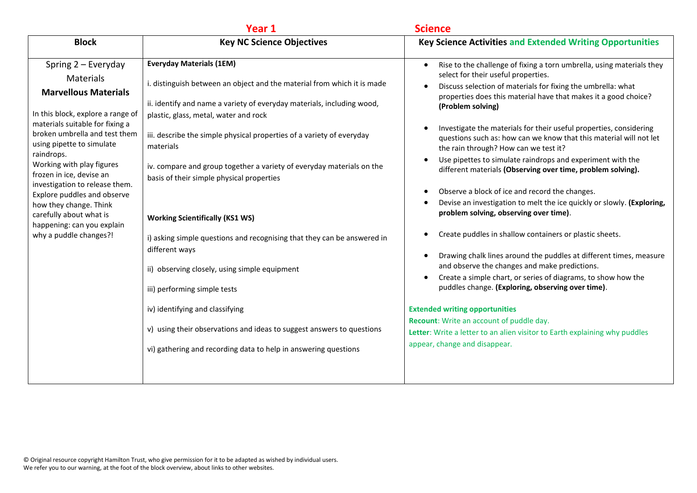|                                                                                                                                                                                                                                                                                                                                                                                                                                                                                                                                                                                                                                                                                                                                                                                                                                                                                                                                                                                                                                                                                                                                                                                                                                                                                                                                            | <b>Science</b>                                                                                                                                                                                                                                                                                                                                                                                                                                                                                                                                                                                                                                                                                                                                                                                                                                                                                                                                                                                                                                                                                                                                                                                                                                                           |
|--------------------------------------------------------------------------------------------------------------------------------------------------------------------------------------------------------------------------------------------------------------------------------------------------------------------------------------------------------------------------------------------------------------------------------------------------------------------------------------------------------------------------------------------------------------------------------------------------------------------------------------------------------------------------------------------------------------------------------------------------------------------------------------------------------------------------------------------------------------------------------------------------------------------------------------------------------------------------------------------------------------------------------------------------------------------------------------------------------------------------------------------------------------------------------------------------------------------------------------------------------------------------------------------------------------------------------------------|--------------------------------------------------------------------------------------------------------------------------------------------------------------------------------------------------------------------------------------------------------------------------------------------------------------------------------------------------------------------------------------------------------------------------------------------------------------------------------------------------------------------------------------------------------------------------------------------------------------------------------------------------------------------------------------------------------------------------------------------------------------------------------------------------------------------------------------------------------------------------------------------------------------------------------------------------------------------------------------------------------------------------------------------------------------------------------------------------------------------------------------------------------------------------------------------------------------------------------------------------------------------------|
| <b>Block</b><br><b>Key NC Science Objectives</b>                                                                                                                                                                                                                                                                                                                                                                                                                                                                                                                                                                                                                                                                                                                                                                                                                                                                                                                                                                                                                                                                                                                                                                                                                                                                                           | <b>Key Science Activities and Extended Writing Opportunities</b>                                                                                                                                                                                                                                                                                                                                                                                                                                                                                                                                                                                                                                                                                                                                                                                                                                                                                                                                                                                                                                                                                                                                                                                                         |
| <b>Everyday Materials (1EM)</b><br>Spring $2$ – Everyday<br>$\bullet$<br>Materials<br>i. distinguish between an object and the material from which it is made<br><b>Marvellous Materials</b><br>ii. identify and name a variety of everyday materials, including wood,<br>In this block, explore a range of<br>plastic, glass, metal, water and rock<br>materials suitable for fixing a<br>broken umbrella and test them<br>iii. describe the simple physical properties of a variety of everyday<br>using pipette to simulate<br>materials<br>raindrops.<br>Working with play figures<br>iv. compare and group together a variety of everyday materials on the<br>frozen in ice, devise an<br>basis of their simple physical properties<br>investigation to release them.<br>Explore puddles and observe<br>how they change. Think<br>carefully about what is<br><b>Working Scientifically (KS1 WS)</b><br>happening: can you explain<br>why a puddle changes?!<br>i) asking simple questions and recognising that they can be answered in<br>different ways<br>ii) observing closely, using simple equipment<br>$\bullet$<br>iii) performing simple tests<br>iv) identifying and classifying<br>v) using their observations and ideas to suggest answers to questions<br>vi) gathering and recording data to help in answering questions | Rise to the challenge of fixing a torn umbrella, using materials they<br>select for their useful properties.<br>Discuss selection of materials for fixing the umbrella: what<br>properties does this material have that makes it a good choice?<br>(Problem solving)<br>Investigate the materials for their useful properties, considering<br>questions such as: how can we know that this material will not let<br>the rain through? How can we test it?<br>Use pipettes to simulate raindrops and experiment with the<br>different materials (Observing over time, problem solving).<br>Observe a block of ice and record the changes.<br>Devise an investigation to melt the ice quickly or slowly. (Exploring,<br>problem solving, observing over time).<br>Create puddles in shallow containers or plastic sheets.<br>Drawing chalk lines around the puddles at different times, measure<br>and observe the changes and make predictions.<br>Create a simple chart, or series of diagrams, to show how the<br>puddles change. (Exploring, observing over time).<br><b>Extended writing opportunities</b><br>Recount: Write an account of puddle day.<br>Letter: Write a letter to an alien visitor to Earth explaining why puddles<br>appear, change and disappear. |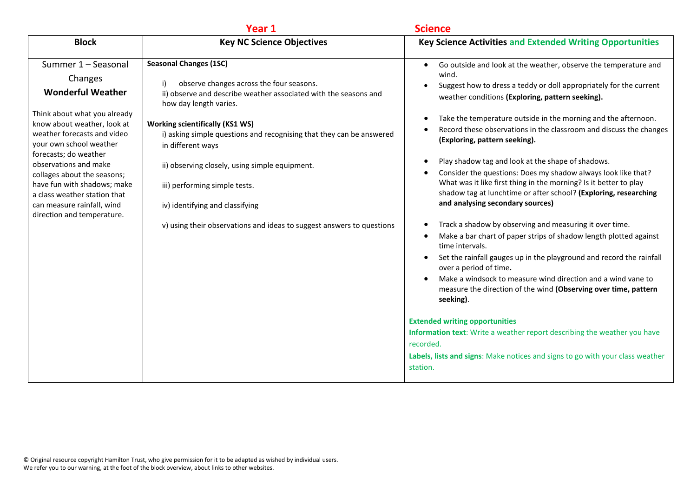|                                                                                                                                                                                                                                                                                                                                                                                                 | Year 1                                                                                                                                                                                                                                                                                                                                                                                                                                                                                                              | <b>Science</b>                                                                                                                                                                                                                                                                                                                                                                                                                                                                                                                                                                                                                                                                                                                                                                                                                                                                                                                                                                                                                                                                                                                                                                                                                                                                                                                                                                      |
|-------------------------------------------------------------------------------------------------------------------------------------------------------------------------------------------------------------------------------------------------------------------------------------------------------------------------------------------------------------------------------------------------|---------------------------------------------------------------------------------------------------------------------------------------------------------------------------------------------------------------------------------------------------------------------------------------------------------------------------------------------------------------------------------------------------------------------------------------------------------------------------------------------------------------------|-------------------------------------------------------------------------------------------------------------------------------------------------------------------------------------------------------------------------------------------------------------------------------------------------------------------------------------------------------------------------------------------------------------------------------------------------------------------------------------------------------------------------------------------------------------------------------------------------------------------------------------------------------------------------------------------------------------------------------------------------------------------------------------------------------------------------------------------------------------------------------------------------------------------------------------------------------------------------------------------------------------------------------------------------------------------------------------------------------------------------------------------------------------------------------------------------------------------------------------------------------------------------------------------------------------------------------------------------------------------------------------|
| <b>Block</b>                                                                                                                                                                                                                                                                                                                                                                                    | <b>Key NC Science Objectives</b>                                                                                                                                                                                                                                                                                                                                                                                                                                                                                    | <b>Key Science Activities and Extended Writing Opportunities</b>                                                                                                                                                                                                                                                                                                                                                                                                                                                                                                                                                                                                                                                                                                                                                                                                                                                                                                                                                                                                                                                                                                                                                                                                                                                                                                                    |
| Summer 1 - Seasonal<br>Changes<br><b>Wonderful Weather</b><br>Think about what you already<br>know about weather, look at<br>weather forecasts and video<br>your own school weather<br>forecasts; do weather<br>observations and make<br>collages about the seasons;<br>have fun with shadows; make<br>a class weather station that<br>can measure rainfall, wind<br>direction and temperature. | <b>Seasonal Changes (1SC)</b><br>observe changes across the four seasons.<br>i)<br>ii) observe and describe weather associated with the seasons and<br>how day length varies.<br><b>Working scientifically (KS1 WS)</b><br>i) asking simple questions and recognising that they can be answered<br>in different ways<br>ii) observing closely, using simple equipment.<br>iii) performing simple tests.<br>iv) identifying and classifying<br>v) using their observations and ideas to suggest answers to questions | Go outside and look at the weather, observe the temperature and<br>$\bullet$<br>wind.<br>Suggest how to dress a teddy or doll appropriately for the current<br>weather conditions (Exploring, pattern seeking).<br>Take the temperature outside in the morning and the afternoon.<br>Record these observations in the classroom and discuss the changes<br>(Exploring, pattern seeking).<br>Play shadow tag and look at the shape of shadows.<br>Consider the questions: Does my shadow always look like that?<br>$\bullet$<br>What was it like first thing in the morning? Is it better to play<br>shadow tag at lunchtime or after school? (Exploring, researching<br>and analysing secondary sources)<br>Track a shadow by observing and measuring it over time.<br>Make a bar chart of paper strips of shadow length plotted against<br>$\bullet$<br>time intervals.<br>Set the rainfall gauges up in the playground and record the rainfall<br>$\bullet$<br>over a period of time.<br>Make a windsock to measure wind direction and a wind vane to<br>$\bullet$<br>measure the direction of the wind (Observing over time, pattern<br>seeking).<br><b>Extended writing opportunities</b><br>Information text: Write a weather report describing the weather you have<br>recorded.<br>Labels, lists and signs: Make notices and signs to go with your class weather<br>station. |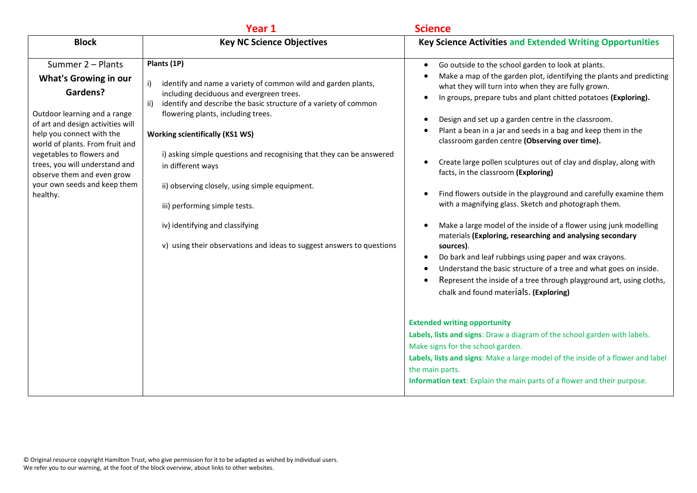|                                                                                                                                                                                                                                                                                                                                             | Year 1                                                                                                                                                                                                                                                                                                                                                                                                                                                                                                                                                                                | <b>Science</b>                                                                                                                                                                                                                                                                                                                                                                                                                                                                                                                                                                                                                                                                                                                                                                                                                                                                                                                                                                                                                                                           |
|---------------------------------------------------------------------------------------------------------------------------------------------------------------------------------------------------------------------------------------------------------------------------------------------------------------------------------------------|---------------------------------------------------------------------------------------------------------------------------------------------------------------------------------------------------------------------------------------------------------------------------------------------------------------------------------------------------------------------------------------------------------------------------------------------------------------------------------------------------------------------------------------------------------------------------------------|--------------------------------------------------------------------------------------------------------------------------------------------------------------------------------------------------------------------------------------------------------------------------------------------------------------------------------------------------------------------------------------------------------------------------------------------------------------------------------------------------------------------------------------------------------------------------------------------------------------------------------------------------------------------------------------------------------------------------------------------------------------------------------------------------------------------------------------------------------------------------------------------------------------------------------------------------------------------------------------------------------------------------------------------------------------------------|
| <b>Block</b>                                                                                                                                                                                                                                                                                                                                | <b>Key NC Science Objectives</b>                                                                                                                                                                                                                                                                                                                                                                                                                                                                                                                                                      | <b>Key Science Activities and Extended Writing Opportunities</b>                                                                                                                                                                                                                                                                                                                                                                                                                                                                                                                                                                                                                                                                                                                                                                                                                                                                                                                                                                                                         |
| Summer 2 - Plants<br><b>What's Growing in our</b><br>Gardens?<br>Outdoor learning and a range<br>of art and design activities will<br>help you connect with the<br>world of plants. From fruit and<br>vegetables to flowers and<br>trees, you will understand and<br>observe them and even grow<br>your own seeds and keep them<br>healthy. | Plants (1P)<br>identify and name a variety of common wild and garden plants,<br>i)<br>including deciduous and evergreen trees.<br>identify and describe the basic structure of a variety of common<br>ii)<br>flowering plants, including trees.<br><b>Working scientifically (KS1 WS)</b><br>i) asking simple questions and recognising that they can be answered<br>in different ways<br>ii) observing closely, using simple equipment.<br>iii) performing simple tests.<br>iv) identifying and classifying<br>v) using their observations and ideas to suggest answers to questions | Go outside to the school garden to look at plants.<br>Make a map of the garden plot, identifying the plants and predicting<br>what they will turn into when they are fully grown.<br>In groups, prepare tubs and plant chitted potatoes (Exploring).<br>Design and set up a garden centre in the classroom.<br>Plant a bean in a jar and seeds in a bag and keep them in the<br>classroom garden centre (Observing over time).<br>Create large pollen sculptures out of clay and display, along with<br>facts, in the classroom (Exploring)<br>Find flowers outside in the playground and carefully examine them<br>with a magnifying glass. Sketch and photograph them.<br>Make a large model of the inside of a flower using junk modelling<br>materials (Exploring, researching and analysing secondary<br>sources).<br>Do bark and leaf rubbings using paper and wax crayons.<br>Understand the basic structure of a tree and what goes on inside.<br>Represent the inside of a tree through playground art, using cloths,<br>chalk and found materials. (Exploring) |
|                                                                                                                                                                                                                                                                                                                                             |                                                                                                                                                                                                                                                                                                                                                                                                                                                                                                                                                                                       | <b>Extended writing opportunity</b><br>Labels, lists and signs: Draw a diagram of the school garden with labels.<br>Make signs for the school garden.<br>Labels, lists and signs: Make a large model of the inside of a flower and label<br>the main parts.<br>Information text: Explain the main parts of a flower and their purpose.                                                                                                                                                                                                                                                                                                                                                                                                                                                                                                                                                                                                                                                                                                                                   |